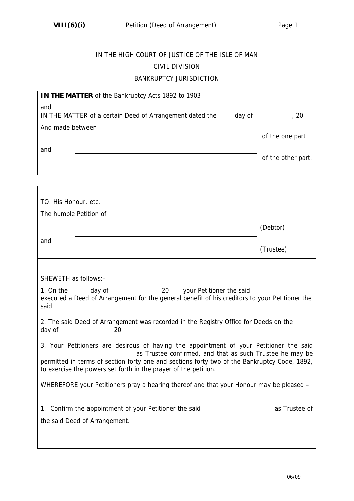$\Gamma$ 

 $\overline{\phantom{a}}$ 

## IN THE HIGH COURT OF JUSTICE OF THE ISLE OF MAN CIVIL DIVISION BANKRUPTCY JURISDICTION

| IN THE MATTER of the Bankruptcy Acts 1892 to 1903                         |  |  |                    |  |
|---------------------------------------------------------------------------|--|--|--------------------|--|
| and<br>IN THE MATTER of a certain Deed of Arrangement dated the<br>day of |  |  | , 20               |  |
| And made between                                                          |  |  |                    |  |
|                                                                           |  |  | of the one part    |  |
| and                                                                       |  |  |                    |  |
|                                                                           |  |  | of the other part. |  |
|                                                                           |  |  |                    |  |

| TO: His Honour, etc.                                                                                                                                                                                                                                                                                                  |  |           |  |  |
|-----------------------------------------------------------------------------------------------------------------------------------------------------------------------------------------------------------------------------------------------------------------------------------------------------------------------|--|-----------|--|--|
| The humble Petition of                                                                                                                                                                                                                                                                                                |  |           |  |  |
|                                                                                                                                                                                                                                                                                                                       |  | (Debtor)  |  |  |
| and                                                                                                                                                                                                                                                                                                                   |  | (Trustee) |  |  |
|                                                                                                                                                                                                                                                                                                                       |  |           |  |  |
| SHEWETH as follows:-                                                                                                                                                                                                                                                                                                  |  |           |  |  |
| day of<br>1. On the<br>20<br>your Petitioner the said<br>executed a Deed of Arrangement for the general benefit of his creditors to your Petitioner the<br>said                                                                                                                                                       |  |           |  |  |
| 2. The said Deed of Arrangement was recorded in the Registry Office for Deeds on the<br>day of<br>20                                                                                                                                                                                                                  |  |           |  |  |
| 3. Your Petitioners are desirous of having the appointment of your Petitioner the said<br>as Trustee confirmed, and that as such Trustee he may be<br>permitted in terms of section forty one and sections forty two of the Bankruptcy Code, 1892,<br>to exercise the powers set forth in the prayer of the petition. |  |           |  |  |
| WHEREFORE your Petitioners pray a hearing thereof and that your Honour may be pleased –                                                                                                                                                                                                                               |  |           |  |  |
| as Trustee of<br>1. Confirm the appointment of your Petitioner the said<br>the said Deed of Arrangement.                                                                                                                                                                                                              |  |           |  |  |